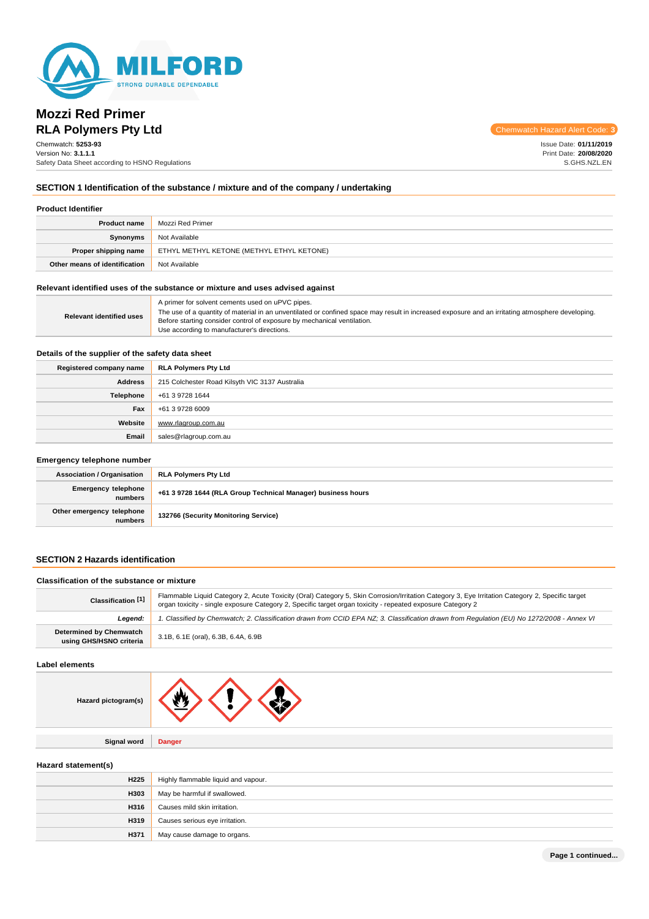

# **Mozzi Red Primer RLA Polymers Pty Ltd**

Chemwatch Hazard Alert Code: **3**

Chemwatch: **5253-93** Version No: **3.1.1.1** Safety Data Sheet according to HSNO Regulations Issue Date: **01/11/2019** Print Date: **20/08/2020** S.GHS.NZL.EN

## **SECTION 1 Identification of the substance / mixture and of the company / undertaking**

| <b>Product name</b>           | Mozzi Red Primer                                                        |
|-------------------------------|-------------------------------------------------------------------------|
| Synonyms                      | Not Available                                                           |
|                               | <b>Proper shipping name   ETHYL METHYL KETONE (METHYL ETHYL KETONE)</b> |
| Other means of identification | Not Available                                                           |

### **Relevant identified uses of the substance or mixture and uses advised against**

| <b>Relevant identified uses</b> | A primer for solvent cements used on uPVC pipes.<br>The use of a quantity of material in an unventilated or confined space may result in increased exposure and an irritating atmosphere developing.<br>Before starting consider control of exposure by mechanical ventilation.<br>Use according to manufacturer's directions. |
|---------------------------------|--------------------------------------------------------------------------------------------------------------------------------------------------------------------------------------------------------------------------------------------------------------------------------------------------------------------------------|
|---------------------------------|--------------------------------------------------------------------------------------------------------------------------------------------------------------------------------------------------------------------------------------------------------------------------------------------------------------------------------|

## **Details of the supplier of the safety data sheet**

| Registered company name | RLA Polymers Pty Ltd                           |
|-------------------------|------------------------------------------------|
| <b>Address</b>          | 215 Colchester Road Kilsyth VIC 3137 Australia |
| Telephone               | +61 3 9728 1644                                |
| Fax                     | +61 3 9728 6009                                |
| Website                 | www.rlagroup.com.au                            |
| Email                   | sales@rlagroup.com.au                          |

## **Emergency telephone number**

| <b>Association / Organisation</b>    | <b>RLA Polymers Pty Ltd</b>                                  |
|--------------------------------------|--------------------------------------------------------------|
| Emergency telephone<br>numbers       | +61 3 9728 1644 (RLA Group Technical Manager) business hours |
| Other emergency telephone<br>numbers | 132766 (Security Monitoring Service)                         |

## **SECTION 2 Hazards identification**

## **Classification of the substance or mixture**

| Classification [1]                                 | Flammable Liquid Category 2, Acute Toxicity (Oral) Category 5, Skin Corrosion/Irritation Category 3, Eye Irritation Category 2, Specific target<br>organ toxicity - single exposure Category 2, Specific target organ toxicity - repeated exposure Category 2 |
|----------------------------------------------------|---------------------------------------------------------------------------------------------------------------------------------------------------------------------------------------------------------------------------------------------------------------|
| Leaend:                                            | '. Classified by Chemwatch; 2. Classification drawn from CCID EPA NZ; 3. Classification drawn from Requlation (EU) No 1272/2008 - Annex VI                                                                                                                    |
| Determined by Chemwatch<br>using GHS/HSNO criteria | 3.1B, 6.1E (oral), 6.3B, 6.4A, 6.9B                                                                                                                                                                                                                           |

#### **Label elements**

| Hazard pictogram(s) |  |  |
|---------------------|--|--|
|---------------------|--|--|

**Hazard statement(s)**

| H <sub>225</sub> | Highly flammable liquid and vapour. |
|------------------|-------------------------------------|
| <b>H303</b>      | May be harmful if swallowed.        |
| H316             | Causes mild skin irritation.        |
| H319             | Causes serious eye irritation.      |
| H371             | May cause damage to organs.         |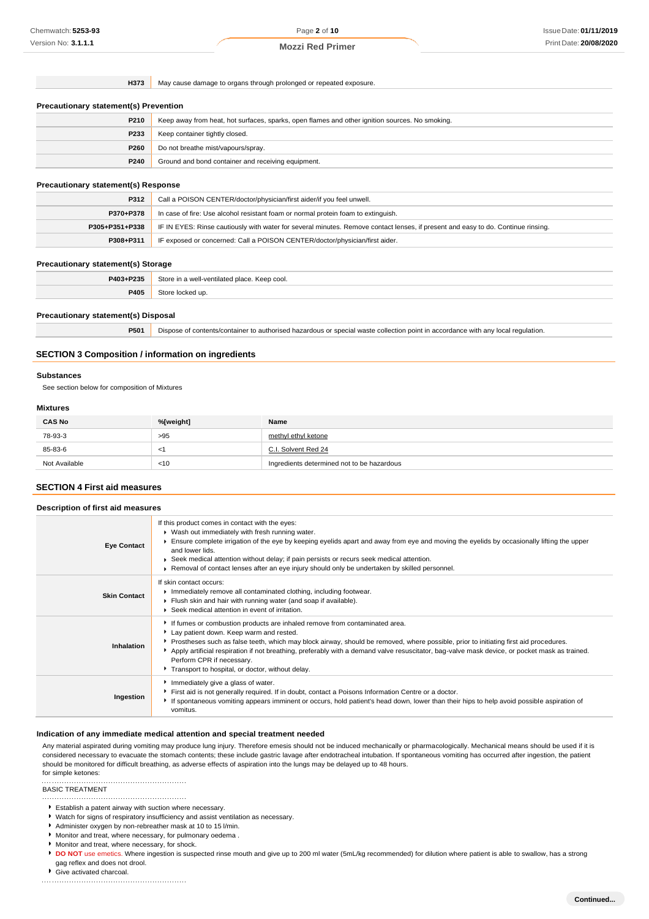**H373** May cause damage to organs through prolonged or repeated exposure.

| <b>Precautionary statement(s) Prevention</b> |                                                                                                |
|----------------------------------------------|------------------------------------------------------------------------------------------------|
| P210                                         | Keep away from heat, hot surfaces, sparks, open flames and other ignition sources. No smoking. |
| P233                                         | Keep container tightly closed.                                                                 |
| P260                                         | Do not breathe mist/vapours/spray.                                                             |
| P240                                         | Ground and bond container and receiving equipment.                                             |
|                                              |                                                                                                |
| <b>Precautionary statement(s) Response</b>   |                                                                                                |
| P312                                         | Call a POISON CENTER/doctor/physician/first aider/if you feel unwell.                          |

| P370+P378      | In case of fire: Use alcohol resistant foam or normal protein foam to extinguish.                                                |
|----------------|----------------------------------------------------------------------------------------------------------------------------------|
| P305+P351+P338 | IF IN EYES: Rinse cautiously with water for several minutes. Remove contact lenses, if present and easy to do. Continue rinsing. |
| P308+P311      | IF exposed or concerned: Call a POISON CENTER/doctor/physician/first aider.                                                      |

#### **Precautionary statement(s) Storage**

| +P235<br>P403. | 740<br>າ cool.<br>oor<br>neeu<br>$  -$ |
|----------------|----------------------------------------|
| つんのん<br>чv.    |                                        |

## **Precautionary statement(s) Disposal**

**P501** Dispose of contents/container to authorised hazardous or special waste collection point in accordance with any local regulation.

## **SECTION 3 Composition / information on ingredients**

#### **Substances**

See section below for composition of Mixtures

## **Mixtures**

| <b>CAS No</b> | %[weight] | Name                                       |  |
|---------------|-----------|--------------------------------------------|--|
| 78-93-3       | >95       | methyl ethyl ketone                        |  |
| 85-83-6       | $\lt'$    | C.I. Solvent Red 24                        |  |
| Not Available | $<$ 10    | Ingredients determined not to be hazardous |  |

# **SECTION 4 First aid measures Description of first aid measures**

| <b>Eye Contact</b>  | If this product comes in contact with the eyes:<br>▶ Wash out immediately with fresh running water.<br>Ensure complete irrigation of the eye by keeping eyelids apart and away from eye and moving the eyelids by occasionally lifting the upper<br>and lower lids.<br>► Seek medical attention without delay; if pain persists or recurs seek medical attention.<br>► Removal of contact lenses after an eye injury should only be undertaken by skilled personnel.                              |
|---------------------|---------------------------------------------------------------------------------------------------------------------------------------------------------------------------------------------------------------------------------------------------------------------------------------------------------------------------------------------------------------------------------------------------------------------------------------------------------------------------------------------------|
| <b>Skin Contact</b> | If skin contact occurs:<br>Immediately remove all contaminated clothing, including footwear.<br>Flush skin and hair with running water (and soap if available).<br>▶ Seek medical attention in event of irritation.                                                                                                                                                                                                                                                                               |
| <b>Inhalation</b>   | If fumes or combustion products are inhaled remove from contaminated area.<br>Lay patient down. Keep warm and rested.<br>▶ Prostheses such as false teeth, which may block airway, should be removed, where possible, prior to initiating first aid procedures.<br>Apply artificial respiration if not breathing, preferably with a demand valve resuscitator, bag-valve mask device, or pocket mask as trained.<br>Perform CPR if necessary.<br>Transport to hospital, or doctor, without delay. |
| Ingestion           | Immediately give a glass of water.<br>First aid is not generally required. If in doubt, contact a Poisons Information Centre or a doctor.<br>If spontaneous vomiting appears imminent or occurs, hold patient's head down, lower than their hips to help avoid possible aspiration of<br>vomitus.                                                                                                                                                                                                 |

## **Indication of any immediate medical attention and special treatment needed**

Any material aspirated during vomiting may produce lung injury. Therefore emesis should not be induced mechanically or pharmacologically. Mechanical means should be used if it is considered necessary to evacuate the stomach contents; these include gastric lavage after endotracheal intubation. If spontaneous vomiting has occurred after ingestion, the patient should be monitored for difficult breathing, as adverse effects of aspiration into the lungs may be delayed up to 48 hours. for simple ketones:

#### 

BASIC TREATMENT 

- Establish a patent airway with suction where necessary.
- Watch for signs of respiratory insufficiency and assist ventilation as necessary.
- Administer oxygen by non-rebreather mask at 10 to 15 l/min.
- Monitor and treat, where necessary, for pulmonary oedema .
- Monitor and treat, where necessary, for shock.
- **DO NOT** use emetics. Where ingestion is suspected rinse mouth and give up to 200 ml water (5mL/kg recommended) for dilution where patient is able to swallow, has a strong gag reflex and does not drool.
- Give activated charcoal.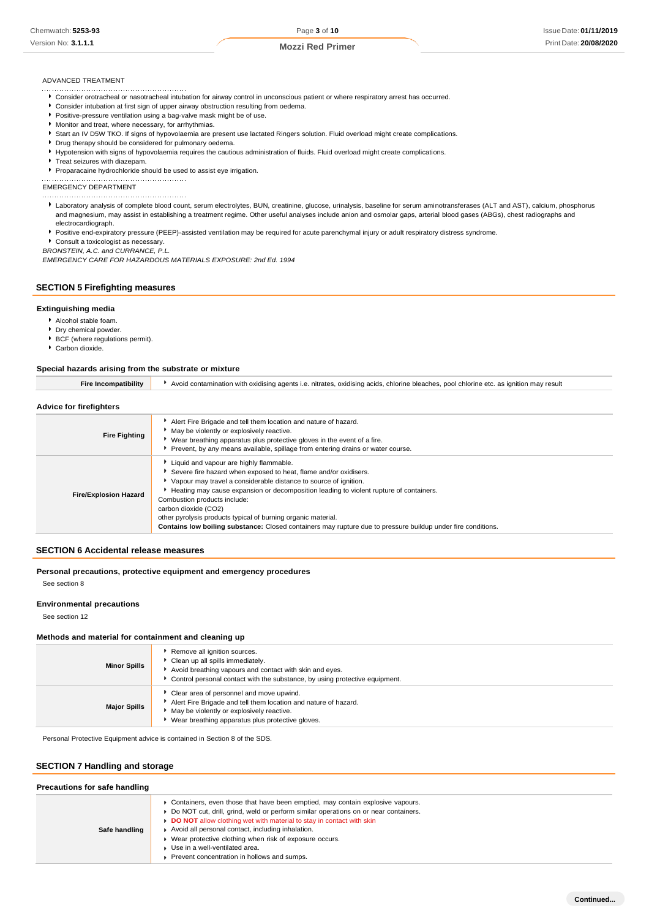#### ADVANCED TREATMENT

- Consider orotracheal or nasotracheal intubation for airway control in unconscious patient or where respiratory arrest has occurred.
- Consider intubation at first sign of upper airway obstruction resulting from oedema.
- Positive-pressure ventilation using a bag-valve mask might be of use.
- Monitor and treat, where necessary, for arrhythmias.
- Start an IV D5W TKO. If signs of hypovolaemia are present use lactated Ringers solution. Fluid overload might create complications.
- **P** Drug therapy should be considered for pulmonary oedema.
- Hypotension with signs of hypovolaemia requires the cautious administration of fluids. Fluid overload might create complications.
- Treat seizures with diazepam.
- Proparacaine hydrochloride should be used to assist eye irrigation.

EMERGENCY DEPARTMENT

- Laboratory analysis of complete blood count, serum electrolytes, BUN, creatinine, glucose, urinalysis, baseline for serum aminotransferases (ALT and AST), calcium, phosphorus and magnesium, may assist in establishing a treatment regime. Other useful analyses include anion and osmolar gaps, arterial blood gases (ABGs), chest radiographs and electrocardiograph.
- Positive end-expiratory pressure (PEEP)-assisted ventilation may be required for acute parenchymal injury or adult respiratory distress syndrome.
- Consult a toxicologist as necessary.

*BRONSTEIN, A.C. and CURRANCE, P.L.*

*EMERGENCY CARE FOR HAZARDOUS MATERIALS EXPOSURE: 2nd Ed. 1994*

#### **SECTION 5 Firefighting measures**

#### **Extinguishing media**

- Alcohol stable foam.
- **P** Dry chemical powder.
- **BCF** (where regulations permit).
- Carbon dioxide.

#### **Special hazards arising from the substrate or mixture**

| <b>Fire Incompatibility</b>  | Avoid contamination with oxidising agents i.e. nitrates, oxidising acids, chlorine bleaches, pool chlorine etc. as ignition may result                                                                                                                                                                                                                                                                                                                                                                             |
|------------------------------|--------------------------------------------------------------------------------------------------------------------------------------------------------------------------------------------------------------------------------------------------------------------------------------------------------------------------------------------------------------------------------------------------------------------------------------------------------------------------------------------------------------------|
| Advice for firefighters      |                                                                                                                                                                                                                                                                                                                                                                                                                                                                                                                    |
| <b>Fire Fighting</b>         | Alert Fire Brigade and tell them location and nature of hazard.<br>• May be violently or explosively reactive.<br>▶ Wear breathing apparatus plus protective gloves in the event of a fire.<br>Prevent, by any means available, spillage from entering drains or water course.                                                                                                                                                                                                                                     |
| <b>Fire/Explosion Hazard</b> | Liquid and vapour are highly flammable.<br>Severe fire hazard when exposed to heat, flame and/or oxidisers.<br>Vapour may travel a considerable distance to source of ignition.<br>Heating may cause expansion or decomposition leading to violent rupture of containers.<br>Combustion products include:<br>carbon dioxide (CO2)<br>other pyrolysis products typical of burning organic material.<br>Contains low boiling substance: Closed containers may rupture due to pressure buildup under fire conditions. |

#### **SECTION 6 Accidental release measures**

**Personal precautions, protective equipment and emergency procedures** See section 8

#### **Environmental precautions**

See section 12

### **Methods and material for containment and cleaning up**

| <b>Minor Spills</b> | Remove all ignition sources.<br>Clean up all spills immediately.<br>Avoid breathing vapours and contact with skin and eyes.<br>▶ Control personal contact with the substance, by using protective equipment.     |
|---------------------|------------------------------------------------------------------------------------------------------------------------------------------------------------------------------------------------------------------|
| <b>Major Spills</b> | Clear area of personnel and move upwind.<br>Alert Fire Brigade and tell them location and nature of hazard.<br>• May be violently or explosively reactive.<br>▶ Wear breathing apparatus plus protective gloves. |

Personal Protective Equipment advice is contained in Section 8 of the SDS.

## **SECTION 7 Handling and storage**

| Precautions for safe handling |                                                                                                                                                                                                                                                                                                                                                                                                                                                    |  |  |  |
|-------------------------------|----------------------------------------------------------------------------------------------------------------------------------------------------------------------------------------------------------------------------------------------------------------------------------------------------------------------------------------------------------------------------------------------------------------------------------------------------|--|--|--|
| Safe handling                 | • Containers, even those that have been emptied, may contain explosive vapours.<br>▶ Do NOT cut, drill, grind, weld or perform similar operations on or near containers.<br>DO NOT allow clothing wet with material to stay in contact with skin<br>Avoid all personal contact, including inhalation.<br>▶ Wear protective clothing when risk of exposure occurs.<br>Use in a well-ventilated area.<br>Prevent concentration in hollows and sumps. |  |  |  |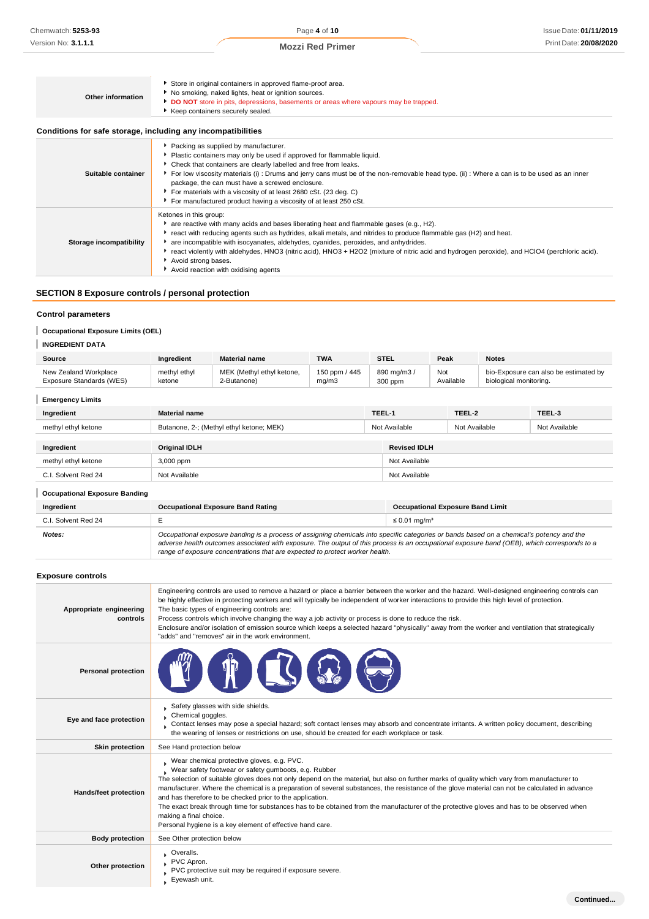| <b>Other information</b>                                     | Store in original containers in approved flame-proof area.<br>No smoking, naked lights, heat or ignition sources.<br>DO NOT store in pits, depressions, basements or areas where vapours may be trapped.<br>Keep containers securely sealed.                                                                                                                                                                                                                                                                                                    |
|--------------------------------------------------------------|-------------------------------------------------------------------------------------------------------------------------------------------------------------------------------------------------------------------------------------------------------------------------------------------------------------------------------------------------------------------------------------------------------------------------------------------------------------------------------------------------------------------------------------------------|
| Conditions for safe storage, including any incompatibilities |                                                                                                                                                                                                                                                                                                                                                                                                                                                                                                                                                 |
| Suitable container                                           | Packing as supplied by manufacturer.<br>• Plastic containers may only be used if approved for flammable liquid.<br>Check that containers are clearly labelled and free from leaks.<br>▶ For low viscosity materials (i) : Drums and jerry cans must be of the non-removable head type. (ii) : Where a can is to be used as an inner<br>package, the can must have a screwed enclosure.<br>For materials with a viscosity of at least 2680 cSt. (23 deg. C)<br>For manufactured product having a viscosity of at least 250 cSt.                  |
| Storage incompatibility                                      | Ketones in this group:<br>• are reactive with many acids and bases liberating heat and flammable gases (e.g., H2).<br>▶ react with reducing agents such as hydrides, alkali metals, and nitrides to produce flammable gas (H2) and heat.<br>are incompatible with isocyanates, aldehydes, cyanides, peroxides, and anhydrides.<br>▶ react violently with aldehydes, HNO3 (nitric acid), HNO3 + H2O2 (mixture of nitric acid and hydrogen peroxide), and HClO4 (perchloric acid).<br>Avoid strong bases.<br>Avoid reaction with oxidising agents |

# **SECTION 8 Exposure controls / personal protection**

## **Control parameters**

## **Occupational Exposure Limits (OEL)**

# **INGREDIENT DATA**

| Source                   | Ingredient   | <b>Material name</b>      | TWA           | STEL       | Peak      | <b>Notes</b>                          |
|--------------------------|--------------|---------------------------|---------------|------------|-----------|---------------------------------------|
| New Zealand Workplace    | methyl ethyl | MEK (Methyl ethyl ketone, | 150 ppm / 445 | 890 mg/m3, | Not       | bio-Exposure can also be estimated by |
| Exposure Standards (WES) | ketone       | 2-Butanone)               | ma/m3         | 300 ppm    | Available | biological monitoring.                |

## **Emergency Limits**

| Ingredient          | <b>Material name</b>                     | TEEL-1 |                     | TEEL-2        | TEEL-3        |
|---------------------|------------------------------------------|--------|---------------------|---------------|---------------|
| methyl ethyl ketone | Butanone, 2-; (Methyl ethyl ketone; MEK) |        | Not Available       | Not Available | Not Available |
|                     |                                          |        |                     |               |               |
| Ingredient          | <b>Original IDLH</b>                     |        | <b>Revised IDLH</b> |               |               |
| methyl ethyl ketone | 3,000 ppm                                |        | Not Available       |               |               |
| C.I. Solvent Red 24 | Not Available                            |        | Not Available       |               |               |

## **Occupational Exposure Banding**

| Occupational Exposure Banding |                                                                                                                                                                                                                                                                                                                                                                          |                                         |  |  |  |
|-------------------------------|--------------------------------------------------------------------------------------------------------------------------------------------------------------------------------------------------------------------------------------------------------------------------------------------------------------------------------------------------------------------------|-----------------------------------------|--|--|--|
| Ingredient                    | <b>Occupational Exposure Band Rating</b>                                                                                                                                                                                                                                                                                                                                 | <b>Occupational Exposure Band Limit</b> |  |  |  |
| C.I. Solvent Red 24           |                                                                                                                                                                                                                                                                                                                                                                          | $\leq$ 0.01 ma/m <sup>3</sup>           |  |  |  |
| Notes:                        | Occupational exposure banding is a process of assigning chemicals into specific categories or bands based on a chemical's potency and the<br>adverse health outcomes associated with exposure. The output of this process is an occupational exposure band (OEB), which corresponds to a<br>range of exposure concentrations that are expected to protect worker health. |                                         |  |  |  |

## **Exposure controls**

| Appropriate engineering<br>controls | Engineering controls are used to remove a hazard or place a barrier between the worker and the hazard. Well-designed engineering controls can<br>be highly effective in protecting workers and will typically be independent of worker interactions to provide this high level of protection.<br>The basic types of engineering controls are:<br>Process controls which involve changing the way a job activity or process is done to reduce the risk.<br>Enclosure and/or isolation of emission source which keeps a selected hazard "physically" away from the worker and ventilation that strategically<br>"adds" and "removes" air in the work environment.                                      |  |  |
|-------------------------------------|------------------------------------------------------------------------------------------------------------------------------------------------------------------------------------------------------------------------------------------------------------------------------------------------------------------------------------------------------------------------------------------------------------------------------------------------------------------------------------------------------------------------------------------------------------------------------------------------------------------------------------------------------------------------------------------------------|--|--|
| <b>Personal protection</b>          |                                                                                                                                                                                                                                                                                                                                                                                                                                                                                                                                                                                                                                                                                                      |  |  |
| Eye and face protection             | Safety glasses with side shields.<br>Chemical goggles.<br>Contact lenses may pose a special hazard; soft contact lenses may absorb and concentrate irritants. A written policy document, describing<br>the wearing of lenses or restrictions on use, should be created for each workplace or task.                                                                                                                                                                                                                                                                                                                                                                                                   |  |  |
| <b>Skin protection</b>              | See Hand protection below                                                                                                                                                                                                                                                                                                                                                                                                                                                                                                                                                                                                                                                                            |  |  |
| Hands/feet protection               | Wear chemical protective gloves, e.g. PVC.<br>Wear safety footwear or safety gumboots, e.g. Rubber<br>The selection of suitable gloves does not only depend on the material, but also on further marks of quality which vary from manufacturer to<br>manufacturer. Where the chemical is a preparation of several substances, the resistance of the glove material can not be calculated in advance<br>and has therefore to be checked prior to the application.<br>The exact break through time for substances has to be obtained from the manufacturer of the protective gloves and has to be observed when<br>making a final choice.<br>Personal hygiene is a key element of effective hand care. |  |  |
| <b>Body protection</b>              | See Other protection below                                                                                                                                                                                                                                                                                                                                                                                                                                                                                                                                                                                                                                                                           |  |  |
| Other protection                    | Overalls.<br>PVC Apron.<br>PVC protective suit may be required if exposure severe.<br>Eyewash unit.                                                                                                                                                                                                                                                                                                                                                                                                                                                                                                                                                                                                  |  |  |
|                                     | Continued                                                                                                                                                                                                                                                                                                                                                                                                                                                                                                                                                                                                                                                                                            |  |  |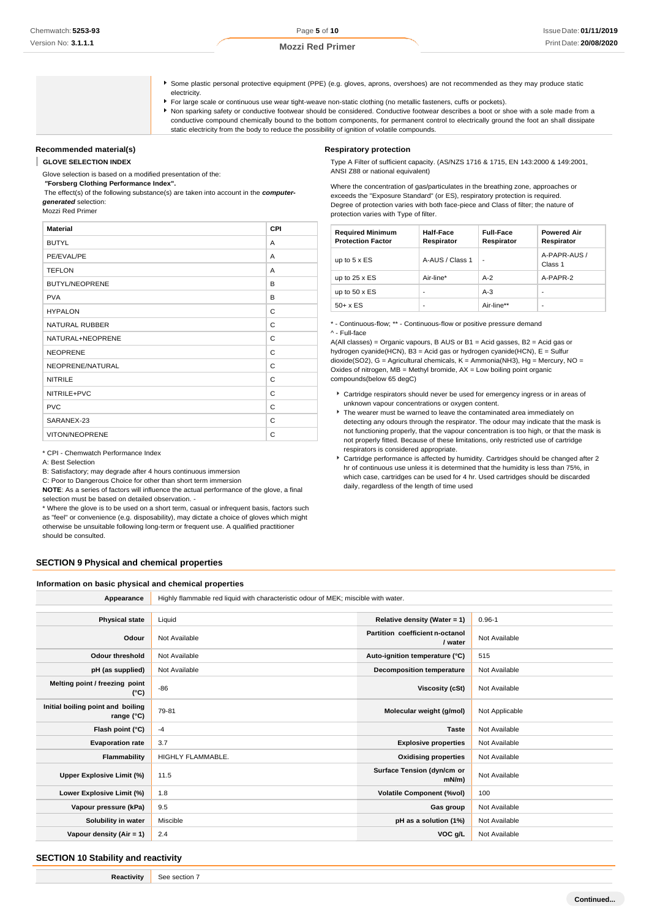- Some plastic personal protective equipment (PPE) (e.g. gloves, aprons, overshoes) are not recommended as they may produce static electricity.
- For large scale or continuous use wear tight-weave non-static clothing (no metallic fasteners, cuffs or pockets).
- Non sparking safety or conductive footwear should be considered. Conductive footwear describes a boot or shoe with a sole made from a conductive compound chemically bound to the bottom components, for permanent control to electrically ground the foot an shall dissipate static electricity from the body to reduce the possibility of ignition of volatile compounds.

## **Recommended material(s)**

#### I **GLOVE SELECTION INDEX**

Glove selection is based on a modified presentation of the:

*"***Forsberg Clothing Performance Index".**

The effect(s) of the following substance(s) are taken into account in the *computergenerated* selection:

Mozzi Red Primer

| <b>Material</b>       | CPI            |
|-----------------------|----------------|
| <b>BUTYL</b>          | A              |
| PE/EVAL/PE            | $\overline{A}$ |
| <b>TEFLON</b>         | A              |
| <b>BUTYL/NEOPRENE</b> | B              |
| <b>PVA</b>            | B              |
| <b>HYPALON</b>        | C              |
| <b>NATURAL RUBBER</b> | C              |
| NATURAL+NEOPRENE      | C              |
| <b>NEOPRENE</b>       | C              |
| NEOPRENE/NATURAL      | C              |
| <b>NITRILE</b>        | С              |
| NITRILE+PVC           | C              |
| <b>PVC</b>            | C              |
| SARANEX-23            | C              |
| <b>VITON/NEOPRENE</b> | C              |

\* CPI - Chemwatch Performance Index

A: Best Selection

B: Satisfactory; may degrade after 4 hours continuous immersion

C: Poor to Dangerous Choice for other than short term immersion

**NOTE**: As a series of factors will influence the actual performance of the glove, a final selection must be based on detailed observation. -

\* Where the glove is to be used on a short term, casual or infrequent basis, factors such as "feel" or convenience (e.g. disposability), may dictate a choice of gloves which might otherwise be unsuitable following long-term or frequent use. A qualified practitioner should be consulted.

## **SECTION 9 Physical and chemical properties**

#### **Information on basic physical and chemical properties**

| Appearance                                               | Highly flammable red liquid with characteristic odour of MEK; miscible with water. |                                            |                |
|----------------------------------------------------------|------------------------------------------------------------------------------------|--------------------------------------------|----------------|
|                                                          |                                                                                    |                                            |                |
| <b>Physical state</b>                                    | Liquid                                                                             | Relative density (Water = $1$ )            | $0.96 - 1$     |
| Odour                                                    | Not Available                                                                      | Partition coefficient n-octanol<br>/ water | Not Available  |
| Odour threshold                                          | Not Available                                                                      | Auto-ignition temperature (°C)             | 515            |
| pH (as supplied)                                         | Not Available                                                                      | <b>Decomposition temperature</b>           | Not Available  |
| Melting point / freezing point<br>$(^{\circ}C)$          | $-86$                                                                              | Viscosity (cSt)                            | Not Available  |
| Initial boiling point and boiling<br>range $(^{\circ}C)$ | 79-81                                                                              | Molecular weight (g/mol)                   | Not Applicable |
| Flash point (°C)                                         | $-4$                                                                               | <b>Taste</b>                               | Not Available  |
| <b>Evaporation rate</b>                                  | 3.7                                                                                | <b>Explosive properties</b>                | Not Available  |
| Flammability                                             | <b>HIGHLY FLAMMABLE.</b>                                                           | <b>Oxidising properties</b>                | Not Available  |
| <b>Upper Explosive Limit (%)</b>                         | 11.5                                                                               | Surface Tension (dyn/cm or<br>$mN/m$ )     | Not Available  |
| Lower Explosive Limit (%)                                | 1.8                                                                                | <b>Volatile Component (%vol)</b>           | 100            |
| Vapour pressure (kPa)                                    | 9.5                                                                                | Gas group                                  | Not Available  |
| Solubility in water                                      | Miscible                                                                           | pH as a solution (1%)                      | Not Available  |
| Vapour density (Air = 1)                                 | 2.4                                                                                | VOC g/L                                    | Not Available  |

## **SECTION 10 Stability and reactivity**

**Reactivity** See section 7

## **Respiratory protection**

Type A Filter of sufficient capacity. (AS/NZS 1716 & 1715, EN 143:2000 & 149:2001, ANSI Z88 or national equivalent)

Where the concentration of gas/particulates in the breathing zone, approaches or exceeds the "Exposure Standard" (or ES), respiratory protection is required. Degree of protection varies with both face-piece and Class of filter; the nature of protection varies with Type of filter.

| <b>Required Minimum</b><br><b>Protection Factor</b> | Half-Face<br>Respirator  | <b>Full-Face</b><br>Respirator | <b>Powered Air</b><br>Respirator |
|-----------------------------------------------------|--------------------------|--------------------------------|----------------------------------|
| up to $5 \times ES$                                 | A-AUS / Class 1          | ٠                              | A-PAPR-AUS /<br>Class 1          |
| up to $25 \times ES$                                | Air-line*                | $A-2$                          | A-PAPR-2                         |
| up to $50 \times ES$                                | $\overline{\phantom{0}}$ | $A-3$                          |                                  |
| $50+ x ES$                                          | -                        | Air-line**                     |                                  |

\* - Continuous-flow; \*\* - Continuous-flow or positive pressure demand ^ - Full-face

A(All classes) = Organic vapours, B AUS or B1 = Acid gasses, B2 = Acid gas or hydrogen cyanide(HCN), B3 = Acid gas or hydrogen cyanide(HCN), E = Sulfur dioxide(SO2), G = Agricultural chemicals, K = Ammonia(NH3), Hg = Mercury, NO = Oxides of nitrogen,  $MB = M$ ethyl bromide,  $AX = Low$  boiling point organic compounds(below 65 degC)

- Cartridge respirators should never be used for emergency ingress or in areas of unknown vapour concentrations or oxygen content.
- $\blacktriangleright$  The wearer must be warned to leave the contaminated area immediately on detecting any odours through the respirator. The odour may indicate that the mask is not functioning properly, that the vapour concentration is too high, or that the mask is not properly fitted. Because of these limitations, only restricted use of cartridge respirators is considered appropriate.
- Cartridge performance is affected by humidity. Cartridges should be changed after 2 hr of continuous use unless it is determined that the humidity is less than 75%, in which case, cartridges can be used for 4 hr. Used cartridges should be discarded daily, regardless of the length of time used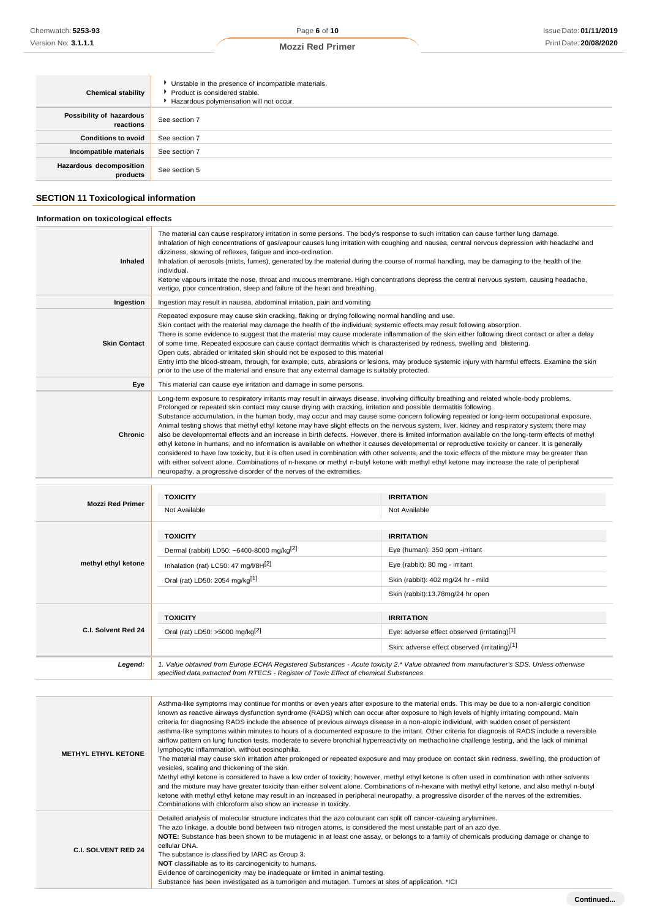## **Mozzi Red Primer**

| <b>Chemical stability</b>             | Unstable in the presence of incompatible materials.<br>▶ Product is considered stable.<br>Hazardous polymerisation will not occur. |
|---------------------------------------|------------------------------------------------------------------------------------------------------------------------------------|
| Possibility of hazardous<br>reactions | See section 7                                                                                                                      |
| <b>Conditions to avoid</b>            | See section 7                                                                                                                      |
| Incompatible materials                | See section 7                                                                                                                      |
| Hazardous decomposition<br>products   | See section 5                                                                                                                      |

## **SECTION 11 Toxicological information**

### **Information on toxicological effects**

| <b>Inhaled</b>          | The material can cause respiratory irritation in some persons. The body's response to such irritation can cause further lung damage.<br>Inhalation of high concentrations of gas/vapour causes lung irritation with coughing and nausea, central nervous depression with headache and<br>dizziness, slowing of reflexes, fatigue and inco-ordination.<br>Inhalation of aerosols (mists, fumes), generated by the material during the course of normal handling, may be damaging to the health of the<br>individual.<br>Ketone vapours irritate the nose, throat and mucous membrane. High concentrations depress the central nervous system, causing headache,<br>vertigo, poor concentration, sleep and failure of the heart and breathing.                                                                                                                                                                                                                                                                                                                                                                                                                                                                                                |                                                                                                                                                                                                                                                                                                       |  |
|-------------------------|---------------------------------------------------------------------------------------------------------------------------------------------------------------------------------------------------------------------------------------------------------------------------------------------------------------------------------------------------------------------------------------------------------------------------------------------------------------------------------------------------------------------------------------------------------------------------------------------------------------------------------------------------------------------------------------------------------------------------------------------------------------------------------------------------------------------------------------------------------------------------------------------------------------------------------------------------------------------------------------------------------------------------------------------------------------------------------------------------------------------------------------------------------------------------------------------------------------------------------------------|-------------------------------------------------------------------------------------------------------------------------------------------------------------------------------------------------------------------------------------------------------------------------------------------------------|--|
| Ingestion               | Ingestion may result in nausea, abdominal irritation, pain and vomiting                                                                                                                                                                                                                                                                                                                                                                                                                                                                                                                                                                                                                                                                                                                                                                                                                                                                                                                                                                                                                                                                                                                                                                     |                                                                                                                                                                                                                                                                                                       |  |
| <b>Skin Contact</b>     | Repeated exposure may cause skin cracking, flaking or drying following normal handling and use.<br>Skin contact with the material may damage the health of the individual; systemic effects may result following absorption.<br>of some time. Repeated exposure can cause contact dermatitis which is characterised by redness, swelling and blistering.<br>Open cuts, abraded or irritated skin should not be exposed to this material<br>prior to the use of the material and ensure that any external damage is suitably protected.                                                                                                                                                                                                                                                                                                                                                                                                                                                                                                                                                                                                                                                                                                      | There is some evidence to suggest that the material may cause moderate inflammation of the skin either following direct contact or after a delay<br>Entry into the blood-stream, through, for example, cuts, abrasions or lesions, may produce systemic injury with harmful effects. Examine the skin |  |
| Eye                     | This material can cause eye irritation and damage in some persons.                                                                                                                                                                                                                                                                                                                                                                                                                                                                                                                                                                                                                                                                                                                                                                                                                                                                                                                                                                                                                                                                                                                                                                          |                                                                                                                                                                                                                                                                                                       |  |
| Chronic                 | Long-term exposure to respiratory irritants may result in airways disease, involving difficulty breathing and related whole-body problems.<br>Prolonged or repeated skin contact may cause drying with cracking, irritation and possible dermatitis following.<br>Substance accumulation, in the human body, may occur and may cause some concern following repeated or long-term occupational exposure.<br>Animal testing shows that methyl ethyl ketone may have slight effects on the nervous system, liver, kidney and respiratory system; there may<br>also be developmental effects and an increase in birth defects. However, there is limited information available on the long-term effects of methyl<br>ethyl ketone in humans, and no information is available on whether it causes developmental or reproductive toxicity or cancer. It is generally<br>considered to have low toxicity, but it is often used in combination with other solvents, and the toxic effects of the mixture may be greater than<br>with either solvent alone. Combinations of n-hexane or methyl n-butyl ketone with methyl ethyl ketone may increase the rate of peripheral<br>neuropathy, a progressive disorder of the nerves of the extremities. |                                                                                                                                                                                                                                                                                                       |  |
|                         | <b>TOXICITY</b>                                                                                                                                                                                                                                                                                                                                                                                                                                                                                                                                                                                                                                                                                                                                                                                                                                                                                                                                                                                                                                                                                                                                                                                                                             | <b>IRRITATION</b>                                                                                                                                                                                                                                                                                     |  |
| <b>Mozzi Red Primer</b> | Not Available                                                                                                                                                                                                                                                                                                                                                                                                                                                                                                                                                                                                                                                                                                                                                                                                                                                                                                                                                                                                                                                                                                                                                                                                                               | Not Available                                                                                                                                                                                                                                                                                         |  |
|                         | <b>TOXICITY</b>                                                                                                                                                                                                                                                                                                                                                                                                                                                                                                                                                                                                                                                                                                                                                                                                                                                                                                                                                                                                                                                                                                                                                                                                                             | <b>IRRITATION</b>                                                                                                                                                                                                                                                                                     |  |
|                         | Dermal (rabbit) LD50: ~6400-8000 mg/kg <sup>[2]</sup>                                                                                                                                                                                                                                                                                                                                                                                                                                                                                                                                                                                                                                                                                                                                                                                                                                                                                                                                                                                                                                                                                                                                                                                       | Eye (human): 350 ppm -irritant                                                                                                                                                                                                                                                                        |  |
| methyl ethyl ketone     | Inhalation (rat) LC50: 47 mg/l/8H[2]                                                                                                                                                                                                                                                                                                                                                                                                                                                                                                                                                                                                                                                                                                                                                                                                                                                                                                                                                                                                                                                                                                                                                                                                        | Eye (rabbit): 80 mg - irritant                                                                                                                                                                                                                                                                        |  |
|                         | Oral (rat) LD50: 2054 mg/kg <sup>[1]</sup>                                                                                                                                                                                                                                                                                                                                                                                                                                                                                                                                                                                                                                                                                                                                                                                                                                                                                                                                                                                                                                                                                                                                                                                                  | Skin (rabbit): 402 mg/24 hr - mild                                                                                                                                                                                                                                                                    |  |
|                         |                                                                                                                                                                                                                                                                                                                                                                                                                                                                                                                                                                                                                                                                                                                                                                                                                                                                                                                                                                                                                                                                                                                                                                                                                                             | Skin (rabbit):13.78mg/24 hr open                                                                                                                                                                                                                                                                      |  |
|                         | <b>TOXICITY</b>                                                                                                                                                                                                                                                                                                                                                                                                                                                                                                                                                                                                                                                                                                                                                                                                                                                                                                                                                                                                                                                                                                                                                                                                                             | <b>IRRITATION</b>                                                                                                                                                                                                                                                                                     |  |
| C.I. Solvent Red 24     | Oral (rat) LD50: >5000 mg/kg[2]                                                                                                                                                                                                                                                                                                                                                                                                                                                                                                                                                                                                                                                                                                                                                                                                                                                                                                                                                                                                                                                                                                                                                                                                             | Eye: adverse effect observed (irritating)[1]                                                                                                                                                                                                                                                          |  |
|                         |                                                                                                                                                                                                                                                                                                                                                                                                                                                                                                                                                                                                                                                                                                                                                                                                                                                                                                                                                                                                                                                                                                                                                                                                                                             | Skin: adverse effect observed (irritating)[1]                                                                                                                                                                                                                                                         |  |
| Legend:                 | 1. Value obtained from Europe ECHA Registered Substances - Acute toxicity 2.* Value obtained from manufacturer's SDS. Unless otherwise                                                                                                                                                                                                                                                                                                                                                                                                                                                                                                                                                                                                                                                                                                                                                                                                                                                                                                                                                                                                                                                                                                      |                                                                                                                                                                                                                                                                                                       |  |

**METHYL ETHYL KETONE** Asthma-like symptoms may continue for months or even years after exposure to the material ends. This may be due to a non-allergic condition known as reactive airways dysfunction syndrome (RADS) which can occur after exposure to high levels of highly irritating compound. Main criteria for diagnosing RADS include the absence of previous airways disease in a non-atopic individual, with sudden onset of persistent asthma-like symptoms within minutes to hours of a documented exposure to the irritant. Other criteria for diagnosis of RADS include a reversible airflow pattern on lung function tests, moderate to severe bronchial hyperreactivity on methacholine challenge testing, and the lack of minimal lymphocytic inflammation, without eosinophilia. The material may cause skin irritation after prolonged or repeated exposure and may produce on contact skin redness, swelling, the production of vesicles, scaling and thickening of the skin. Methyl ethyl ketone is considered to have a low order of toxicity; however, methyl ethyl ketone is often used in combination with other solvents and the mixture may have greater toxicity than either solvent alone. Combinations of n-hexane with methyl ethyl ketone, and also methyl n-butyl ketone with methyl ethyl ketone may result in an increased in peripheral neuropathy, a progressive disorder of the nerves of the extremities. Combinations with chloroform also show an increase in toxicity. **C.I. SOLVENT RED 24** Detailed analysis of molecular structure indicates that the azo colourant can split off cancer-causing arylamines. The azo linkage, a double bond between two nitrogen atoms, is considered the most unstable part of an azo dye. **NOTE:** Substance has been shown to be mutagenic in at least one assay, or belongs to a family of chemicals producing damage or change to cellular DNA. The substance is classified by IARC as Group 3: **NOT** classifiable as to its carcinogenicity to humans. Evidence of carcinogenicity may be inadequate or limited in animal testing. Substance has been investigated as a tumorigen and mutagen. Tumors at sites of application. \*ICI

*specified data extracted from RTECS - Register of Toxic Effect of chemical Substances*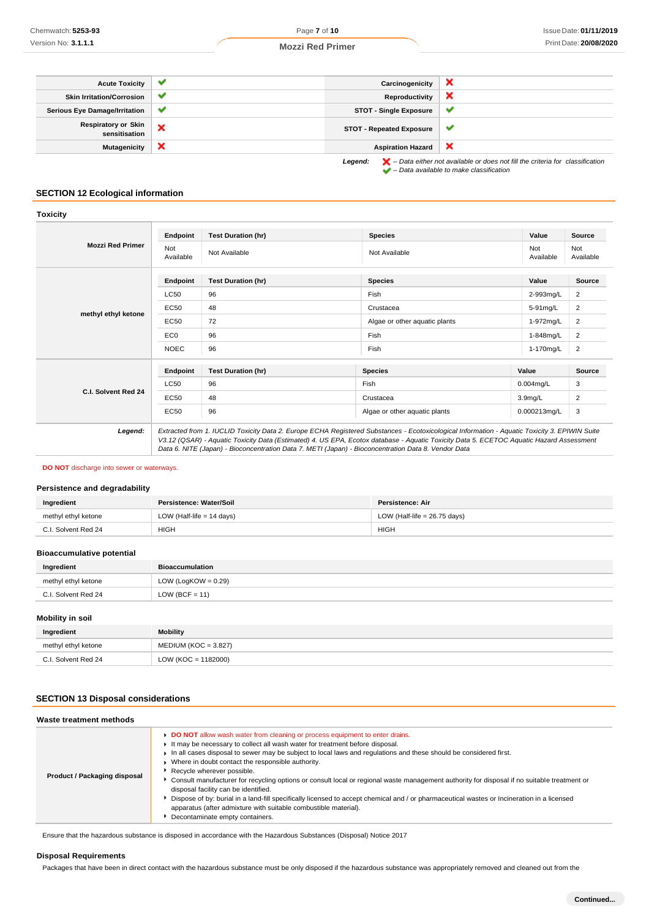## **Mozzi Red Primer**

| <b>Acute Toxicity</b>                       | v | Carcinogenicity                 | ж                                                                                                                                                                   |
|---------------------------------------------|---|---------------------------------|---------------------------------------------------------------------------------------------------------------------------------------------------------------------|
| <b>Skin Irritation/Corrosion</b>            | ✔ | Reproductivity                  | ×                                                                                                                                                                   |
| <b>Serious Eye Damage/Irritation</b>        | ✔ | <b>STOT - Single Exposure</b>   | v                                                                                                                                                                   |
| <b>Respiratory or Skin</b><br>sensitisation | × | <b>STOT - Repeated Exposure</b> |                                                                                                                                                                     |
| <b>Mutagenicity</b>                         | × | <b>Aspiration Hazard</b>        | ×                                                                                                                                                                   |
|                                             |   | Legend:                         | $\blacktriangleright$ – Data either not available or does not fill the criteria for classification<br>$\blacktriangleright$ - Data available to make classification |

## **SECTION 12 Ecological information**

| oxicit |  |
|--------|--|
|        |  |
|        |  |

|                         | Endpoint         | <b>Test Duration (hr)</b> | <b>Species</b>                                                                                                                                                                                                                                                                                                                                                                                  | Value               | Source           |
|-------------------------|------------------|---------------------------|-------------------------------------------------------------------------------------------------------------------------------------------------------------------------------------------------------------------------------------------------------------------------------------------------------------------------------------------------------------------------------------------------|---------------------|------------------|
| <b>Mozzi Red Primer</b> | Not<br>Available | Not Available             | Not Available                                                                                                                                                                                                                                                                                                                                                                                   | Not<br>Available    | Not<br>Available |
|                         | Endpoint         | <b>Test Duration (hr)</b> | <b>Species</b>                                                                                                                                                                                                                                                                                                                                                                                  | Value               | Source           |
|                         | LC50             | 96                        | Fish                                                                                                                                                                                                                                                                                                                                                                                            | 2-993mg/L           | $\overline{2}$   |
|                         | EC50             | 48                        | Crustacea                                                                                                                                                                                                                                                                                                                                                                                       | 5-91mg/L            | $\overline{2}$   |
| methyl ethyl ketone     | <b>EC50</b>      | 72                        | Algae or other aquatic plants                                                                                                                                                                                                                                                                                                                                                                   | 1-972mg/L           | $\overline{2}$   |
|                         | EC <sub>0</sub>  | 96                        | Fish                                                                                                                                                                                                                                                                                                                                                                                            | 1-848mg/L           | $\overline{2}$   |
|                         | <b>NOEC</b>      | 96                        | Fish                                                                                                                                                                                                                                                                                                                                                                                            | 1-170mg/L           | $\overline{2}$   |
|                         | Endpoint         | <b>Test Duration (hr)</b> | <b>Species</b>                                                                                                                                                                                                                                                                                                                                                                                  | Value               | <b>Source</b>    |
|                         | LC50             | 96                        | Fish                                                                                                                                                                                                                                                                                                                                                                                            | $0.004$ mg/L        | 3                |
| C.I. Solvent Red 24     | EC50             | 48                        | Crustacea                                                                                                                                                                                                                                                                                                                                                                                       | 3.9 <sub>mq/L</sub> | $\overline{2}$   |
|                         | EC50             | 96                        | Algae or other aquatic plants                                                                                                                                                                                                                                                                                                                                                                   | 0.000213mg/L        | 3                |
| Legend:                 |                  |                           | Extracted from 1. IUCLID Toxicity Data 2. Europe ECHA Registered Substances - Ecotoxicological Information - Aquatic Toxicity 3. EPIWIN Suite<br>V3.12 (QSAR) - Aquatic Toxicity Data (Estimated) 4. US EPA, Ecotox database - Aquatic Toxicity Data 5. ECETOC Aquatic Hazard Assessment<br>Data 6. NITE (Japan) - Bioconcentration Data 7. METI (Japan) - Bioconcentration Data 8. Vendor Data |                     |                  |

#### **DO NOT** discharge into sewer or waterways.

## **Persistence and degradability**

| Ingredient          | Persistence: Water/Soil     | Persistence: Air               |
|---------------------|-----------------------------|--------------------------------|
| methyl ethyl ketone | LOW (Half-life $= 14$ days) | LOW (Half-life $= 26.75$ days) |
| C.I. Solvent Red 24 | <b>HIGH</b>                 | <b>HIGH</b>                    |

## **Bioaccumulative potential**

| Ingredient          | <b>Bioaccumulation</b> |
|---------------------|------------------------|
| methyl ethyl ketone | LOW (LogKOW = $0.29$ ) |
| C.I. Solvent Red 24 | LOW (BCF = $11$ )      |

## **Mobility in soil**

| Ingredient          | Mobility               |
|---------------------|------------------------|
| methyl ethyl ketone | $MEDIUM (KOC = 3.827)$ |
| C.I. Solvent Red 24 | $LOW (KOC = 1182000)$  |

## **SECTION 13 Disposal considerations**

| Waste treatment methods      |                                                                                                                                                                                                                                                                                                                                                                                                                                                                                                                                                                                                                                                                                                                                                                                                                                            |
|------------------------------|--------------------------------------------------------------------------------------------------------------------------------------------------------------------------------------------------------------------------------------------------------------------------------------------------------------------------------------------------------------------------------------------------------------------------------------------------------------------------------------------------------------------------------------------------------------------------------------------------------------------------------------------------------------------------------------------------------------------------------------------------------------------------------------------------------------------------------------------|
| Product / Packaging disposal | DO NOT allow wash water from cleaning or process equipment to enter drains.<br>It may be necessary to collect all wash water for treatment before disposal.<br>$\blacktriangleright$ In all cases disposal to sewer may be subject to local laws and requlations and these should be considered first.<br>▶ Where in doubt contact the responsible authority.<br>Recycle wherever possible.<br>• Consult manufacturer for recycling options or consult local or regional waste management authority for disposal if no suitable treatment or<br>disposal facility can be identified.<br>• Dispose of by: burial in a land-fill specifically licensed to accept chemical and / or pharmaceutical wastes or Incineration in a licensed<br>apparatus (after admixture with suitable combustible material).<br>Decontaminate empty containers. |

Ensure that the hazardous substance is disposed in accordance with the Hazardous Substances (Disposal) Notice 2017

## **Disposal Requirements**

Packages that have been in direct contact with the hazardous substance must be only disposed if the hazardous substance was appropriately removed and cleaned out from the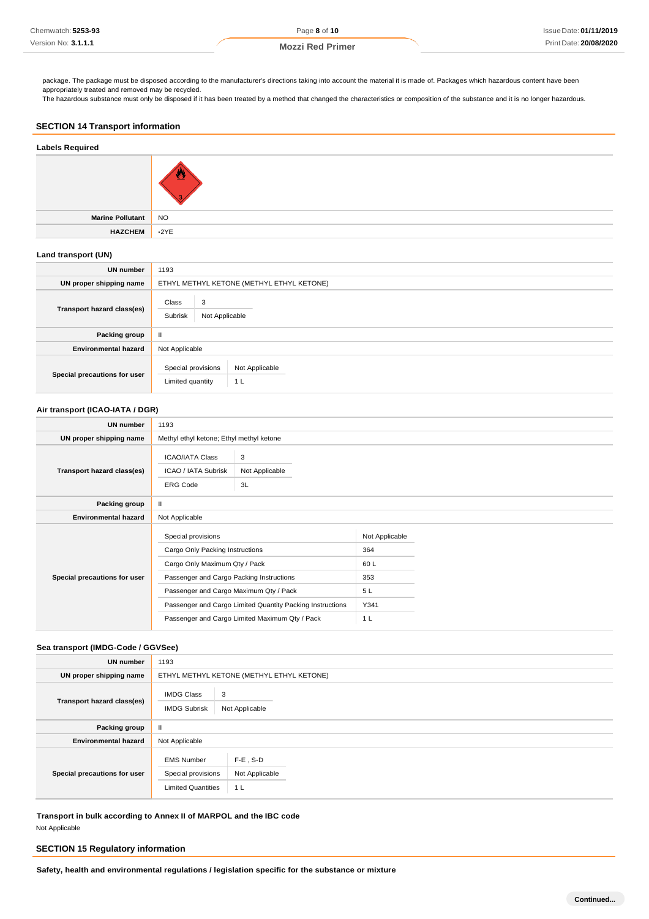package. The package must be disposed according to the manufacturer's directions taking into account the material it is made of. Packages which hazardous content have been appropriately treated and removed may be recycled.

The hazardous substance must only be disposed if it has been treated by a method that changed the characteristics or composition of the substance and it is no longer hazardous.

## **SECTION 14 Transport information**

## **Labels Required**



**Marine Pollutant** NO **HAZCHEM** •2YE

## **Land transport (UN)**

| <b>UN number</b>             | 1193                                                            |  |
|------------------------------|-----------------------------------------------------------------|--|
| UN proper shipping name      | ETHYL METHYL KETONE (METHYL ETHYL KETONE)                       |  |
| Transport hazard class(es)   | Class<br>3<br>Subrisk<br>Not Applicable                         |  |
| Packing group                | Ш                                                               |  |
| <b>Environmental hazard</b>  | Not Applicable                                                  |  |
| Special precautions for user | Special provisions<br>Not Applicable<br>Limited quantity<br>1 L |  |

## **Air transport (ICAO-IATA / DGR)**

| <b>UN number</b>             | 1193                                                             |                           |                       |  |
|------------------------------|------------------------------------------------------------------|---------------------------|-----------------------|--|
| UN proper shipping name      | Methyl ethyl ketone; Ethyl methyl ketone                         |                           |                       |  |
| Transport hazard class(es)   | <b>ICAO/IATA Class</b><br>ICAO / IATA Subrisk<br><b>ERG Code</b> | 3<br>Not Applicable<br>3L |                       |  |
| Packing group                | $\mathbf{H}$                                                     |                           |                       |  |
| <b>Environmental hazard</b>  | Not Applicable                                                   |                           |                       |  |
| Special precautions for user | Special provisions<br>Cargo Only Packing Instructions            |                           | Not Applicable<br>364 |  |
|                              | Cargo Only Maximum Qty / Pack                                    |                           | 60L                   |  |
|                              | Passenger and Cargo Packing Instructions                         |                           | 353                   |  |
|                              | Passenger and Cargo Maximum Qty / Pack                           |                           | 5L                    |  |
|                              | Passenger and Cargo Limited Quantity Packing Instructions        |                           | Y341                  |  |
|                              | Passenger and Cargo Limited Maximum Qty / Pack                   |                           | 1 <sub>L</sub>        |  |

## **Sea transport (IMDG-Code / GGVSee)**

| <b>UN number</b>             | 1193                                                                 |                                      |  |
|------------------------------|----------------------------------------------------------------------|--------------------------------------|--|
| UN proper shipping name      | ETHYL METHYL KETONE (METHYL ETHYL KETONE)                            |                                      |  |
| Transport hazard class(es)   | <b>IMDG Class</b><br><b>IMDG Subrisk</b>                             | 3<br>Not Applicable                  |  |
| Packing group                | $\mathbf{H}$                                                         |                                      |  |
| <b>Environmental hazard</b>  | Not Applicable                                                       |                                      |  |
| Special precautions for user | <b>EMS Number</b><br>Special provisions<br><b>Limited Quantities</b> | $F-E$ , S-D<br>Not Applicable<br>1 L |  |

**Transport in bulk according to Annex II of MARPOL and the IBC code** Not Applicable

## **SECTION 15 Regulatory information**

**Safety, health and environmental regulations / legislation specific for the substance or mixture**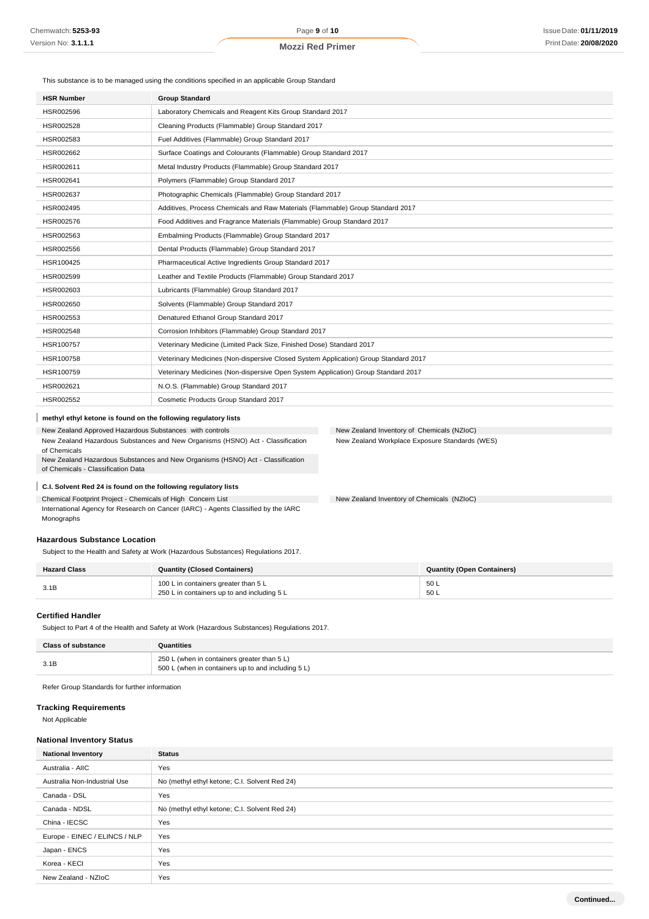This substance is to be managed using the conditions specified in an applicable Group Standard

| HSR002596<br>Laboratory Chemicals and Reagent Kits Group Standard 2017<br>Cleaning Products (Flammable) Group Standard 2017<br>HSR002528<br>Fuel Additives (Flammable) Group Standard 2017<br>HSR002583<br>Surface Coatings and Colourants (Flammable) Group Standard 2017<br>HSR002662 |
|-----------------------------------------------------------------------------------------------------------------------------------------------------------------------------------------------------------------------------------------------------------------------------------------|
|                                                                                                                                                                                                                                                                                         |
|                                                                                                                                                                                                                                                                                         |
|                                                                                                                                                                                                                                                                                         |
|                                                                                                                                                                                                                                                                                         |
| Metal Industry Products (Flammable) Group Standard 2017<br>HSR002611                                                                                                                                                                                                                    |
| Polymers (Flammable) Group Standard 2017<br>HSR002641                                                                                                                                                                                                                                   |
| Photographic Chemicals (Flammable) Group Standard 2017<br>HSR002637                                                                                                                                                                                                                     |
| Additives, Process Chemicals and Raw Materials (Flammable) Group Standard 2017<br>HSR002495                                                                                                                                                                                             |
| HSR002576<br>Food Additives and Fragrance Materials (Flammable) Group Standard 2017                                                                                                                                                                                                     |
| Embalming Products (Flammable) Group Standard 2017<br>HSR002563                                                                                                                                                                                                                         |
| Dental Products (Flammable) Group Standard 2017<br>HSR002556                                                                                                                                                                                                                            |
| Pharmaceutical Active Ingredients Group Standard 2017<br>HSR100425                                                                                                                                                                                                                      |
| Leather and Textile Products (Flammable) Group Standard 2017<br>HSR002599                                                                                                                                                                                                               |
| Lubricants (Flammable) Group Standard 2017<br>HSR002603                                                                                                                                                                                                                                 |
| Solvents (Flammable) Group Standard 2017<br>HSR002650                                                                                                                                                                                                                                   |
| Denatured Ethanol Group Standard 2017<br>HSR002553                                                                                                                                                                                                                                      |
| HSR002548<br>Corrosion Inhibitors (Flammable) Group Standard 2017                                                                                                                                                                                                                       |
| HSR100757<br>Veterinary Medicine (Limited Pack Size, Finished Dose) Standard 2017                                                                                                                                                                                                       |
| Veterinary Medicines (Non-dispersive Closed System Application) Group Standard 2017<br>HSR100758                                                                                                                                                                                        |
| HSR100759<br>Veterinary Medicines (Non-dispersive Open System Application) Group Standard 2017                                                                                                                                                                                          |
| N.O.S. (Flammable) Group Standard 2017<br>HSR002621                                                                                                                                                                                                                                     |
| Cosmetic Products Group Standard 2017<br>HSR002552                                                                                                                                                                                                                                      |

## **methyl ethyl ketone is found on the following regulatory lists**

New Zealand Approved Hazardous Substances with controls New Zealand Hazardous Substances and New Organisms (HSNO) Act - Classification of Chemicals New Zealand Hazardous Substances and New Organisms (HSNO) Act - Classification of Chemicals - Classification Data

New Zealand Inventory of Chemicals (NZIoC) New Zealand Workplace Exposure Standards (WES)

New Zealand Inventory of Chemicals (NZIoC)

## **C.I. Solvent Red 24 is found on the following regulatory lists**

Chemical Footprint Project - Chemicals of High Concern List

International Agency for Research on Cancer (IARC) - Agents Classified by the IARC Monographs

## **Hazardous Substance Location**

Subject to the Health and Safety at Work (Hazardous Substances) Regulations 2017.

| <b>Hazard Class</b> | <b>Quantity (Closed Containers)</b>                                                 | <b>Quantity (Open Containers)</b> |
|---------------------|-------------------------------------------------------------------------------------|-----------------------------------|
| 3.1B                | 100 L in containers greater than 5 L<br>250 L in containers up to and including 5 L | 50 L<br>50 L                      |

## **Certified Handler**

Subject to Part 4 of the Health and Safety at Work (Hazardous Substances) Regulations 2017.

| <b>Class of substance</b> | Quantities                                                                                        |
|---------------------------|---------------------------------------------------------------------------------------------------|
| 3.1E                      | 250 L (when in containers greater than 5 L)<br>500 L (when in containers up to and including 5 L) |

Refer Group Standards for further information

## **Tracking Requirements**

Not Applicable

## **National Inventory Status**

| <b>National Inventory</b>     | <b>Status</b>                                 |
|-------------------------------|-----------------------------------------------|
| Australia - AIIC              | Yes                                           |
| Australia Non-Industrial Use  | No (methyl ethyl ketone; C.I. Solvent Red 24) |
| Canada - DSL                  | Yes                                           |
| Canada - NDSL                 | No (methyl ethyl ketone; C.I. Solvent Red 24) |
| China - IECSC                 | Yes                                           |
| Europe - EINEC / ELINCS / NLP | Yes                                           |
| Japan - ENCS                  | Yes                                           |
| Korea - KECI                  | Yes                                           |
| New Zealand - NZIoC           | Yes                                           |